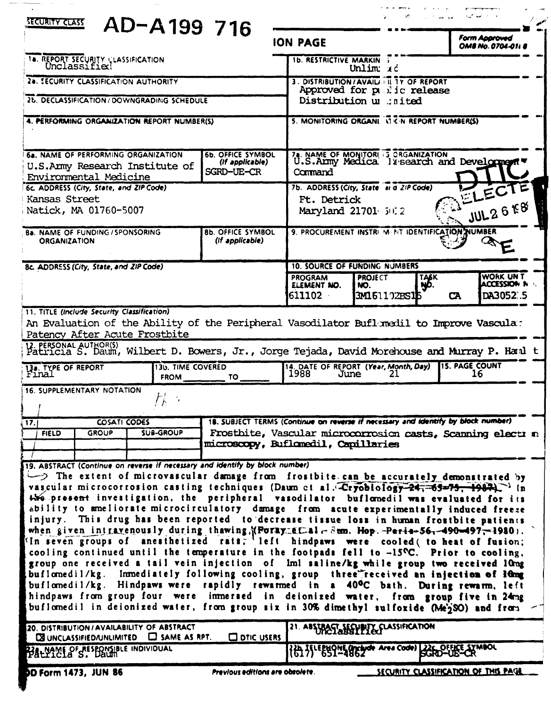| SECURITY CLASS<br>AD-A199 716                                                                                                                                                                                                                                                                                                                                                                                                                                                                                                                                                                                                                                                                                                                             |                                                           |                                                                                   | اس سا <sup>ر ک</sup> ار الاست.                          | والمستناس المحلة المحيية                                    |  |
|-----------------------------------------------------------------------------------------------------------------------------------------------------------------------------------------------------------------------------------------------------------------------------------------------------------------------------------------------------------------------------------------------------------------------------------------------------------------------------------------------------------------------------------------------------------------------------------------------------------------------------------------------------------------------------------------------------------------------------------------------------------|-----------------------------------------------------------|-----------------------------------------------------------------------------------|---------------------------------------------------------|-------------------------------------------------------------|--|
|                                                                                                                                                                                                                                                                                                                                                                                                                                                                                                                                                                                                                                                                                                                                                           |                                                           | <b>ION PAGE</b>                                                                   |                                                         | <b>Form Approved</b><br><b>OMB No. 0704-0118</b>            |  |
| <b>18. REPORT SECURITY CLASSIFICATION</b><br>Unclassified                                                                                                                                                                                                                                                                                                                                                                                                                                                                                                                                                                                                                                                                                                 |                                                           | <b>1b. RESTRICTIVE MARKIN :</b>                                                   | Unlim $x \in$                                           |                                                             |  |
| 2a. SECURITY CLASSIFICATION AUTHORITY                                                                                                                                                                                                                                                                                                                                                                                                                                                                                                                                                                                                                                                                                                                     |                                                           | 3. DISTRIBUTION/AVAILLETT TY OF REPORT                                            |                                                         |                                                             |  |
| 2b. DECLASSIFICATION / DOWNGRADING SCHEDULE                                                                                                                                                                                                                                                                                                                                                                                                                                                                                                                                                                                                                                                                                                               |                                                           | Approved for p. lic release<br>Distribution u .inited                             |                                                         |                                                             |  |
| 4. PERFORMING ORGANIZATION REPORT NUMBER(S)                                                                                                                                                                                                                                                                                                                                                                                                                                                                                                                                                                                                                                                                                                               |                                                           | 5. MONITORING ORGANI VI CIN REPORT NUMBERIS)                                      |                                                         |                                                             |  |
| 6a. NAME OF PERFORMING ORGANIZATION<br>U.S.Army Research Institute of<br>Environmental Medicine                                                                                                                                                                                                                                                                                                                                                                                                                                                                                                                                                                                                                                                           | <b>6b. OFFICE SYMBOL</b><br>(If applicable)<br>SGRD-UE-CR | Command                                                                           | 74. NAME OF MONITORIES ORGANIZATION                     | U.S.Anny Medica Is search and Development                   |  |
| 6c. ADDRESS (City, State, and ZIP Code)                                                                                                                                                                                                                                                                                                                                                                                                                                                                                                                                                                                                                                                                                                                   |                                                           | 7b. ADDRESS (City, State at d ZIP Code)                                           |                                                         | ELECTE                                                      |  |
| Kansas Street<br>Natick, MA 01760-5007                                                                                                                                                                                                                                                                                                                                                                                                                                                                                                                                                                                                                                                                                                                    |                                                           | Ft. Detrick<br>Maryland 21701 5012                                                |                                                         | JUL26E8                                                     |  |
| <b>Ba. NAME OF FUNDING / SPONSORING</b><br><b>ORGANIZATION</b>                                                                                                                                                                                                                                                                                                                                                                                                                                                                                                                                                                                                                                                                                            | <b>8b. OFFICE SYMBOL</b><br>(If applicable)               |                                                                                   | 9. PROCUREMENT INSTRI M. NT IDENTIFICATION NUMBER       |                                                             |  |
| 8c. ADDRESS (City, State, and ZIP Code)                                                                                                                                                                                                                                                                                                                                                                                                                                                                                                                                                                                                                                                                                                                   |                                                           | <b>10. SOURCE OF FUNDING NUMBERS</b>                                              |                                                         |                                                             |  |
|                                                                                                                                                                                                                                                                                                                                                                                                                                                                                                                                                                                                                                                                                                                                                           |                                                           | <b>PROGRAM</b><br>ELEMENT NO.<br>NO.<br>611102                                    | <b>PROJECT</b><br><b>TASK</b><br>ŊO.<br>3M1.61.192BS116 | <b>WORK UNT</b><br>ACCESSION N<br>DA3052:.5<br><b>CA</b>    |  |
| 11. TITLE (Include Security Classification)<br>An Evaluation of the Ability of the Peripheral Vasodilator Buflomedil to Improve Vascula:<br>Patency After Acute Frostbite<br>12. PERSONAL AUTHOR(S)<br>Patricia S. Daum, Wilbert D. Bowers, Jr., Jorge Tejada, David Morehouse and Murray P. Hand t                                                                                                                                                                                                                                                                                                                                                                                                                                                       |                                                           |                                                                                   |                                                         |                                                             |  |
| 130. TIME COVERED<br>13a. TYPE OF REPORT                                                                                                                                                                                                                                                                                                                                                                                                                                                                                                                                                                                                                                                                                                                  | FROM TO                                                   | 14. DATE OF REPORT (Year, Month, Day)<br>1988<br>June                             | 21                                                      | <b>15. PAGE COUNT</b><br>16                                 |  |
| 16. SUPPLEMENTARY NOTATION                                                                                                                                                                                                                                                                                                                                                                                                                                                                                                                                                                                                                                                                                                                                |                                                           |                                                                                   |                                                         |                                                             |  |
| COSATI CODES<br>$ 17\rangle$                                                                                                                                                                                                                                                                                                                                                                                                                                                                                                                                                                                                                                                                                                                              |                                                           | 18. SUBJECT TERMS (Continue on reverse if necessary and identify by block number) |                                                         |                                                             |  |
| <b>SUB-GROUP</b><br><b>FIELD</b><br><b>GROUP</b>                                                                                                                                                                                                                                                                                                                                                                                                                                                                                                                                                                                                                                                                                                          | microscopy, Buflomedil, Capillaries                       |                                                                                   |                                                         | Frosthite, Vascular microcorrosion casts, Scanning electr n |  |
| 19. ABSTRACT (Continue on reverse if necessary and identify by block number)                                                                                                                                                                                                                                                                                                                                                                                                                                                                                                                                                                                                                                                                              |                                                           |                                                                                   |                                                         |                                                             |  |
| The extent of microvascular damage from frostbite can be accurately demonstrated by<br>vascular microcorrosion casting techniques (Daum et al. Cryobiology-24, 65-79, 1987).<br>450 present investigation, the peripheral vasodilator buflomedil was evaluated for its<br>ability to ameliorate microcirculatory damage from acute experimentally induced freeze<br>injury. This drug has been reported to decrease tissue loss in human frostbite patients<br>when given intravenously during thawing, (Foray et al-Sem. Hop. - Peris-56, -490-497, -1980).<br>In seven groups of anesthetized rats, left hindpaws were cooled (to heat of fusion;<br>cooling continued until the temperature in the footpads fell to $-15^{\circ}C$ . Prior to cooling, |                                                           |                                                                                   |                                                         |                                                             |  |
| group one received a tail vein injection of lml saline/kg while group two received lung<br>buflomedil/kg. Immediately following cooling, group three received an injection of lung<br>buflomedil/kg. Hindpaws were rapidly rewarmed in a 40°C bath. During rewarm, left<br>hindpaws from group four were immersed in deionized water, from group five in 24mg<br>buflomedil in deionized water, from group six in 30% dimethyl sulfoxide (Me'2SO) and from                                                                                                                                                                                                                                                                                                |                                                           |                                                                                   |                                                         |                                                             |  |
| 20. DISTRIBUTION / AVAILABILITY OF ABSTRACT<br>$\Box$ SAME AS RPT.<br><b>DE UNCLASSIFIED/UNLIMITED</b>                                                                                                                                                                                                                                                                                                                                                                                                                                                                                                                                                                                                                                                    | <b>CO DTIC USERS</b>                                      | 21. ABSTRACT SECURITY CLASSIFICATION                                              |                                                         |                                                             |  |
| 22. NAME OF RESPONSIBLE INDIVIDUAL                                                                                                                                                                                                                                                                                                                                                                                                                                                                                                                                                                                                                                                                                                                        |                                                           | {{} }\EENOME Unclude Area Code)                                                   |                                                         | SCRO-UB-CR                                                  |  |
| SECURITY CLASSIFICATION OF THIS PAGE<br><b>DD Form 1473, JUN 86</b><br>Previous editions are obsolete.                                                                                                                                                                                                                                                                                                                                                                                                                                                                                                                                                                                                                                                    |                                                           |                                                                                   |                                                         |                                                             |  |

 $\sim$ 

 $\bar{\mathcal{A}}$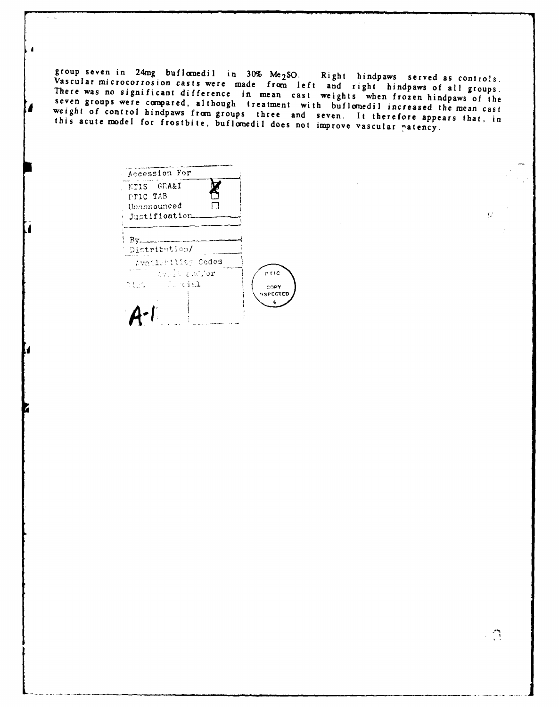group seven in 24mg buflomedil in 30% Me<sub>2</sub>SO. Right hindpaws served as controls. Vascular microcorrosion casts were made from left and right hindpaws of all groups.<br>There was no significant difference in mean cast weights when frozen hindpaws of the<br>seven groups were compared, although treatment with b weight of control hindpaws from groups three and seven. It therefore appears that, in this acute model for frostbite, buflomedil does not improve vascular patency.

Accession For NTIS GRA&I PTIC TAB  $\Box$ Unannounced Justification  $By$ — Distribution/ Availability Codes  $C T + C$ pict Cureial COPY **SPECTED**  $6\phantom{.}6$  $A - I$ 

 $\epsilon = 1$ 

 $\mathcal{L}$ 

 $\mathcal{Q}$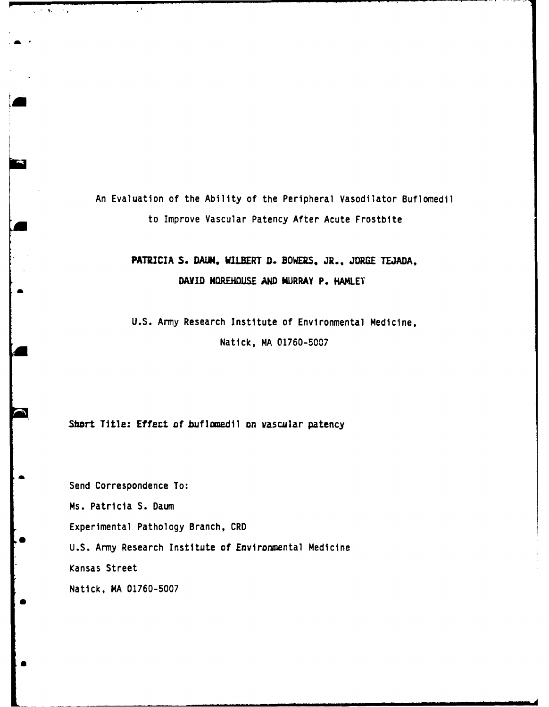An Evaluation of the Ability of the Peripheral Vasodilator Buflomedil to Improve Vascular Patency After Acute Frostbite

# **PATRICIA S. DAIM, WILBERT D. BOWERS,** JR., **JORGE TEJADA, DAVID MOREHOUSE AND MURRAY P. HAMLET**

**U.S.** Amy Research Institute of Environmental Medicine, Natick, MA 01760-5007

Short Title: Effect of buflomedil on vascular patency

 $\mathcal{C}^{\mathcal{A}}$ 

 $\Delta$  ,  $\Delta$  ,  $\Delta$  ,  $\Delta$  ,  $\Delta$  ,  $\Delta$ 

Send Correspondence To: Ms. Patricia S. Daum Experimental Pathology Branch, CRD U.S. Amy Research Institute of Environmental Medicine Kansas Street Natick, MA 01760-5007

**B**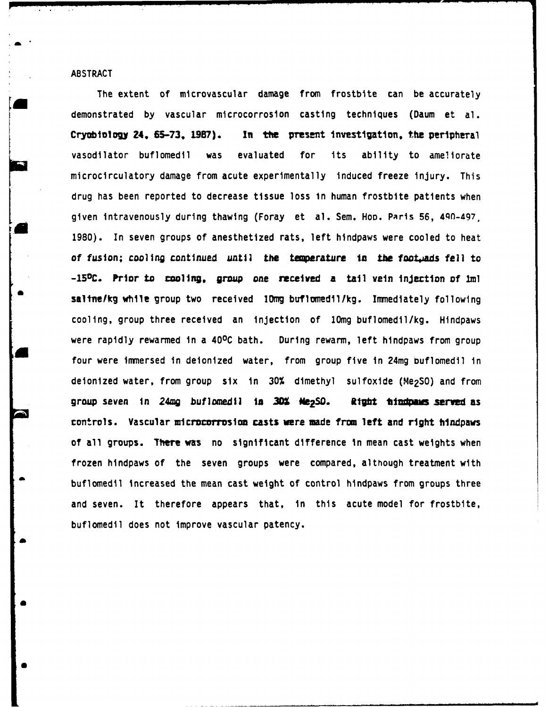ABSTRACT

**a**

The extent of microvascular damage from frostbite can be accurately demonstrated by vascular microcorrosion casting techniques (Daum et al. Cryobiology **24. 6S-73, 1987).** In **the** present investigation, the peripheral vasodilator buflomedil was evaluated for its ability to ameliorate microcirculatory damage from acute experimentally induced freeze injury. This drug has been reported to decrease tissue loss In human frostbite patients when given intravenously during thawing (Foray et al. Sem. Hop. Paris 56, 490-497. 1980). In seven groups of anesthetized rats, left hindpaws were cooled to heat of fusion; cooling continued until the temperature in the footwads fell to **-150C. Prior** to cooling, group *one* received **a** tail vein **lnjartton** of **1ml** saltne/kg while group two received 10mg buflomedil/kg. Immediately following cooling, group three received an injection of 10mg buflomedil/kg. Hindpaws were rapidly rewarmed in a 400C bath. During rewarm, left hindpaws from group four were immersed in deionized water, from group five in 24mg buflomedil in deionized water, from group six in 30% dimethyl sulfoxide (Me<sub>2</sub>SO) and from group seven In **24mg** buflomedil **Ia 30 Ne 2SD. Rigbt tdps served as** controls. Vascular microcorrosion casts were made from left and right hindpaws of all groups. There was no significant difference in mean cast weights when frozen hindpaws of the seven groups were compared, although treatment with buflomedil increased the mean cast weight of control hindpaws from groups three and seven. It therefore appears that, in this acute model for frostbite, buflomedil does not improve vascular patency.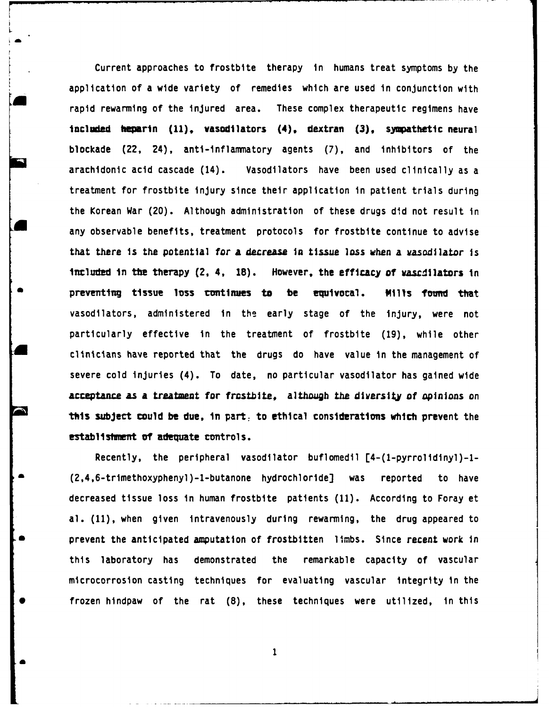Current approaches to frostbite therapy in humans treat symptoms by the application of a wide variety of remedies which are used in conjunction with rapid rewarming of the injured area. These complex therapeutic regimens have included **heparin** (11), vasodilators (4), dextran (3), sympathetic neural blockade (22, 24), anti-inflammatory agents **(7),** and inhibitors **of** the arachidonic acid cascade (14). Vasodilators have been used clinically as a treatment for frostbite injury since their application in patient trials during the Korean War (20). Although administration of these drugs did not result in any observable benefits, treatment protocols for frostbite continue to advise that there is the potential for **a decrease** in tissue loss when a vasodilator is **included** in the therapy (2, 4, 18). However, the efficacy of vascdilators in **\* preventing tissue loss conttimes to be equivocal. Mills found that** vasodilators, administered in **the** early stage of the injury, were not particularly effective in the treatment of frostbite (19), while other clinicians have reported that the drugs do have value in the management of severe cold injuries (4). To date, no particular vasodilator has gained wide acceptance as a treatment for frostbite, although the diversity of opinions on **tis subject could** be due, **in** part, to ethical considerations which prevent the **establishment of adequate controls.** 

Recently, the peripheral vasodilator buflomedil [4-(l-pyrrolidinyl)-l- (2,4,6-trimethoxyphenyl)-l-butanone hydrochloride] was reported to have decreased tissue loss in human frostbite patients (11). According to Foray et al. (11), when given intravenously during rewarming, the drug appeared to prevent the anticipated amputation of frostbitten limbs. Since recent work in this laboratory has demonstrated the remarkable capacity of vascular microcorrosion casting techniques for evaluating vascular integrity in the frozen hindpaw of the rat (8), these techniques were utilized, in this

 $\mathbf{1}$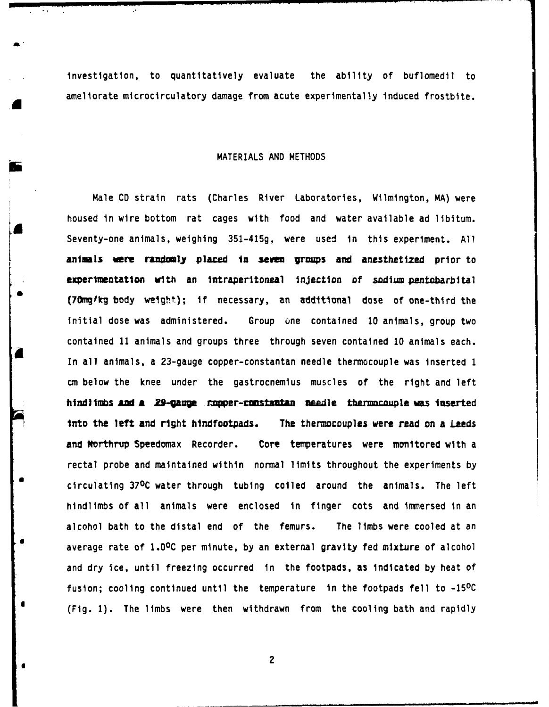investigation, to quantitatively evaluate the ability of buflomedil to ameliorate microcirculatory damage from acute experimentally induced frostbite.

### MATERIALS AND METHODS

Male CD strain rats (Charles River Laboratories, Wilmington, MA) were housed in wire bottom rat cages with food and water available ad libitum. **a** Seventy-one animals, weighing 351-415g, were used in this experiment. **All** animals were randomly placed in seven groups and anesthetized prior to experimentation with an intraperitoneal injection of sodium pentobarbital **(70ng/kg** body weight); if necessary, an additional dose of one-third the initial dose was administered. Group one contained 10 animals, group two contained 11 animals and groups three through seven contained 10 animals each. In all animals, a 23-gauge copper-constantan needle thermocouple was inserted 1 cm below the knee under the gastrocnemius muscles of the right and left **hindlimbs** AM **a 29-Wgae cver-c sttna vasle thermocouple** was Inserted **into the left and right hindfootpads.** The thermocouples were read on a Leeds and Northrup Speedomax Recorder. Core temperatures were monitored with a rectal probe and maintained within normal limits throughout the experiments **by** circulating **370C** water through tubing coiled around the animals. The left hindlimbs of all animals were enclosed in finger cots and immersed in an alcohol bath to the distal end of the femurs. The limbs were cooled at an average rate of 1.0<sup>o</sup>C per minute, by an external gravity fed mixture of alcohol and dry ice, until freezing occurred in the footpads, as indicated by heat of fusion; cooling continued until the temperature in the footpads fell to -15<sup>o</sup>C (Fig. **1).** The limbs were then withdrawn from the cooling bath and rapidly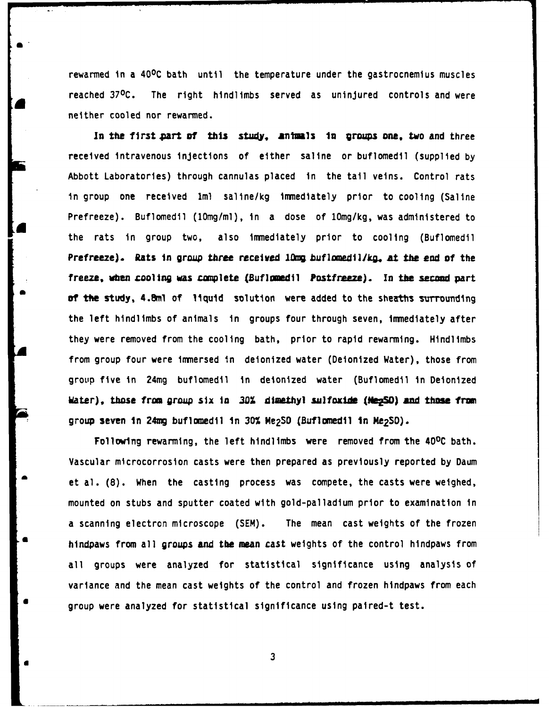rewarmed in a 40°C bath until the temperature under the gastrocnemius muscles reached **370C.** The right hindlimbs served as uninjured controls and were neither cooled nor rewarmed.

**In** the **firstpart of his** study, **animls** *In* groups one, two and three received intravenous injections of either saline or buflomedil (supplied by Abbott Laboratories) through cannulas placed in the tail veins. Control rats in group one received lml saline/kg immediately prior to cooling (Saline Prefreeze). Buflomedil (10mg/ml), in a dose of 10mg/kg, was administered to the rats in group two, also immediately prior to cooling (Buflomedil **Prefreeze). Rats In group** *three* **received g zbuf lomedI/kg, At the** *end* **of** the freeze, when cooling was complete (Buflomedil Postfreeze). In the second part **of the study, 4.8ml** of liquid solution were added to the sheaths surrounding the left hindlimbs of animals in groups four through seven, immediately after they were removed from the cooling bath, prior to rapid rewarming. Hindlimbs from group four were immersed in deionized water (Deionized Water), those from group five in 24mg buflomedil in deionized water (Buflomedil in Deionized Hater), those from group six in 30% dimethyl sulfoxide (NegSO) and those from group **seven** *in* **24mg** buflomedil In **30%** Me2SO (Buflomedil **in fe<sup>2</sup> SO).**

Following rewarming, the left hindlimbs were removed from the 40<sup>o</sup>C bath. Vascular microcorrosion casts were then prepared as previously reported **by** Daum et al. (8). When the casting process was compete, the casts were weighed, mounted on stubs and sputter coated with gold-palladium prior to examination in a scanning electron microscope (SEM). The mean cast weights of the frozen hindpaws from all groups and the mean cast weights of the control hindpaws from all groups were analyzed for statistical significance using analysis of variance and the mean cast weights of the control and frozen hindpaws from each group were analyzed for statistical significance using paired-t test.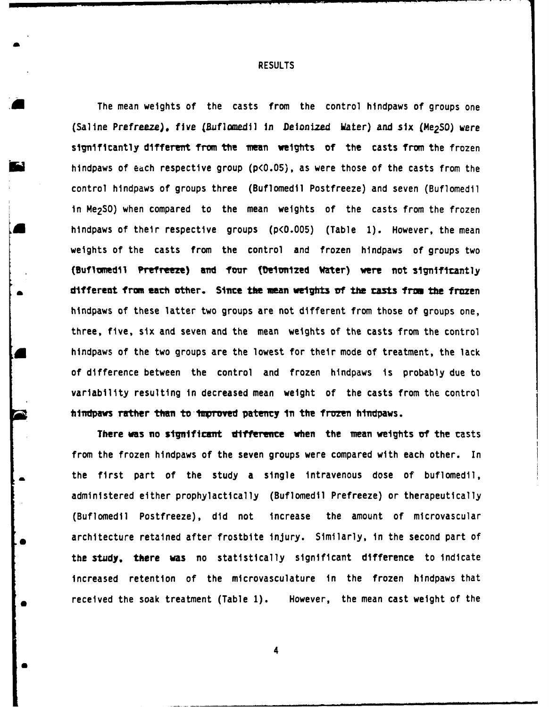**RESULTS**

The mean weights of the casts from the control hindpaws of groups one (Saline Prefreeze), five (Buflomedil in Deionized Water) and six (Me<sub>2</sub>SO) were s gnificantly different from **the** mean weights **of** the casts from the frozen hindpaws of edch respective group **(p<O.05),** as were those of the casts from the control hindpaws of groups three (Buflomedil Postfreeze) and seven (Buflomedil in Me<sub>2</sub>SO) when compared to the mean weights of the casts from the frozen Ahindpaws of their respective groups **(p<O.005)** (Table **1).** However, the mean weights of the casts from the control and frozen hindpaws of groups two (Buflomedil Prefreeze) and four (Deionized Water) were not significantly **different from each other.** Since the mean weights of the casts from the frozen hindpaws of these latter two groups are not different from those of groups one, three, five, six and seven and the mean weights of the casts from the control hindpaws of the two groups are the lowest for their mode of treatment, the lack of difference between the control and frozen hindpaws is probably due to variability resulting in decreased mean weight of the casts from the control hindpaws rather than to improved patency in the frozen hindpaws.

**There was no significant difference when the mean weights of the casts** from the frozen hindpaws of the seven groups were compared with each other. In the first part of the study a single intravenous dose of buflomedil, administered either prophylactically (Buflomedil Prefreeze) or therapeutically (Buflomedil Postfreeze), did not increase the amount of microvascular architecture retained after frostbite injury. Similarly, in the second part of the **study, there** was no statistically significant difference to indicate increased retention of the microvasculature in the frozen hindpaws that received the soak treatment (Table **1).** However, the mean cast weight of the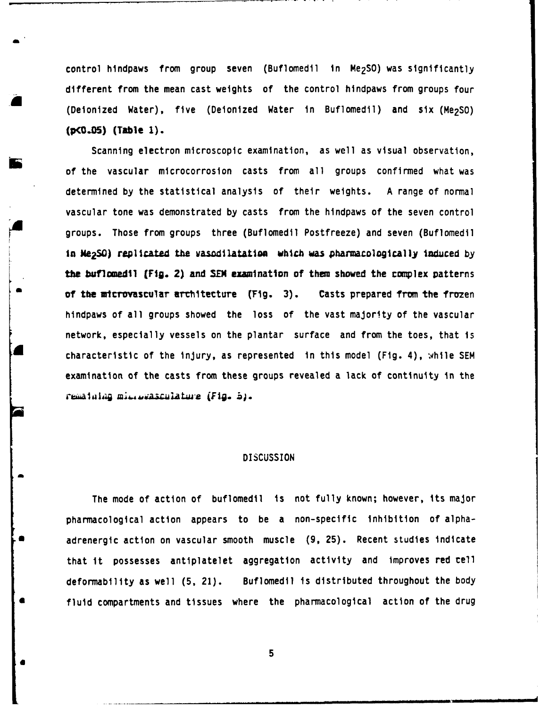control hindpaws from group seven (Buflomedil in Me<sub>2</sub>SO) was significantly different from the mean cast weights of the control hindpaws from groups four (Deionized Water), five (Deionized Water in Buflomedil) and six (Me2SO) **(p(O..O) (Table 1).**

Scanning electron microscopic examination, as well as visual observation, of the vascular microcorrosion casts from all groups confirmed what was determined by the statistical analysis of their weights. A range of normal vascular tone was demonstrated by casts from the hindpaws of the seven control groups. Those from groups three (Buflomedil Postfreeze) and seven (Buflomedil in Me<sub>2</sub>SO) replicated the vasodilatation which was pharmacologically induced by **the buflomedil (Fig. 2) and SEM examination of them showed the complex patterns of the microvascular architecture (Fig. 3). Casts prepared from the frozen** hindpaws of all groups showed the loss of the vast majority of the vascular network, especially vessels on the plantar surface and from the toes, that is characteristic of the injury, as represented in this model (Fig. **4),** while **SEM** examination of the casts from these groups revealed a lack of continuity in the rematalag microvasculature (Fig. b).

## **DISCUSSION**

The mode of action of buflomedil is not fully known; however, its major pharmacological action appears to be a non-specific inhibition of alphaa adrenergic action on vascular smooth muscle **(9, 25).** Recent studies indicate that it possesses antiplatelet aggregation activity and improves red cell deformability as well **(5,** 21). Buflomedil is distributed throughout the body fluid compartments and tissues where the pharmacological action of the drug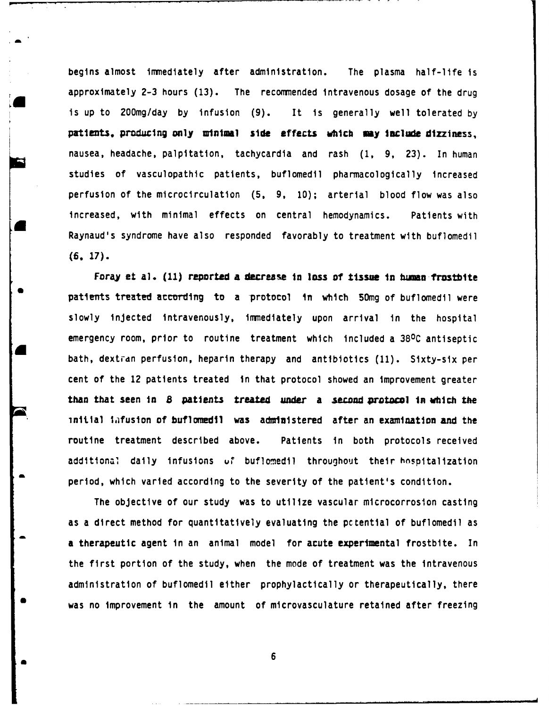begins almost immediately after administration. The plasma half-life is approximately **2-3** hours **(13).** The recommended intravenous dosage of the drug is up to 200mg/day by infusion (9). It is generally well tolerated **by patients, produ Ing only** inimal **side effects** which **my Include** dizziness, nausea, headache, palpitation, tachycardia and rash **(1, 9, 23).** In human studies of vasculopathic patients, buflomedil pharmacologically increased perfusion of the microcirculation (5, **9,** 10); arterial blood flow was also increased, with minimal effects on central hemodynamics. Patients with Raynaud's syndrome have also responded favorably to treatment with buflomedil **(6. 17).**

Foray et a]. **(11)** reported **a** decrease In loss of tissue in **human** frostbite patients treated according to a protocol in which 50mg of buflomedil were slowly injected intravenously, immediately upon arrival in the hospital emergency room, prior to routine treatment which included a **380C** antiseptic bath, dextrdn perfusion, heparin therapy and antibiotics **(11).** Sixty-six per cent of the 12 patients treated in that protocol showed an improvement greater than that seen in **8** patients treated under a **second pratwool In which the** initial infusion of buflomedil was administered after an examination and the routine treatment described above. Patients in both protocols received additional daily infusions ur buflomedil throughout their hospitalization period, which varied according to the severity of the patient's condition.

The objective of our study was to utilize vascular microcorrosion casting as a direct method for quantitatively evaluating the pctential of buflomedil as a therapeutic agent in an animal model for acute experimental frostbite. In the first portion of the study, when the mode of treatment was the intravenous administration of buflomedil either prophylactically or therapeutically, there was no improvement in the amount of microvasculature retained after freezing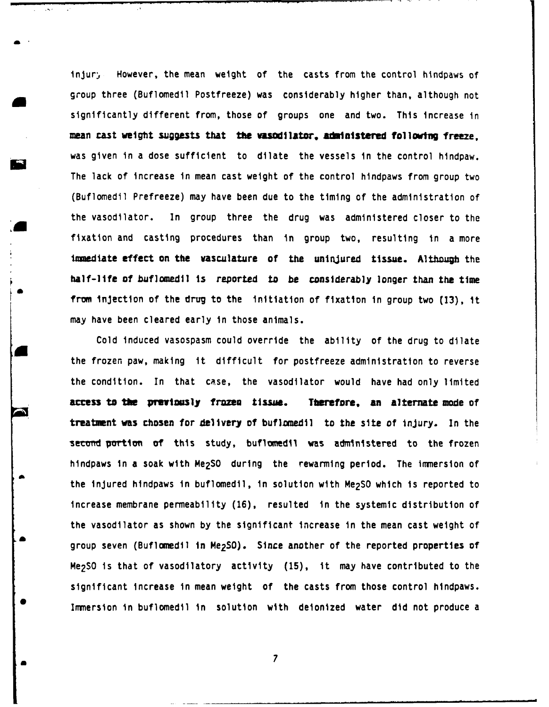injury However, the mean weight of the casts from the control hindpaws of group three (Buflomedil Postfreeze) was considerably higher than, although not significantly different from, those of groups one and two. This increase in mean cast weight suggests that the **wasodilator**, administered following freeze. was given in a dose sufficient to dilate the vessels in the control hindpaw. The lack of increase in mean cast weight of the control hindpaws from group two (Buflomedil Prefreeze) may have been due to the timing of the administration of the vasodilator. In group three the drug was administered closer to the fixation and casting procedures than in group two, resulting in a more immediate effect on the vasculature of the uninjured tissue. Although the half-life of buflomedil is reported to be considerably longer than the time from Injection of the drug to the initiation of fixation in group two **(13),** It may have been cleared early in those animals.

Cold induced vasospasm could override the ability of the drug to dilate the frozen paw, making it difficult for postfreeze administration to reverse the condition. In that case, the vasodilator would have had only limited **access** to **the prmvtmosly frozen tissue. Threfore, an** alternate **mode** of treatment was chosen for delivery of buflomedil to the site of injury. In the second portion of this study, buflomedil was administered to the frozen hindpaws in a soak with Me2SO during the rewarming period. The immersion of the injured hindpaws in buflomedil, In solution with Me2SO which is reported to increase membrane permeability **(16),** resulted in the systemic distribution of the vasodilator as shown by the significant increase in the mean cast weight of group seven (Buflomedil in Me<sub>2</sub>SO). Since another of the reported properties of Me<sub>2</sub>SO is that of vasodilatory activity (15), it may have contributed to the significant increase in mean weight of the casts from those control hindpaws. rImmersion in buflomedil in solution with deionized water did not produce a

**a 7**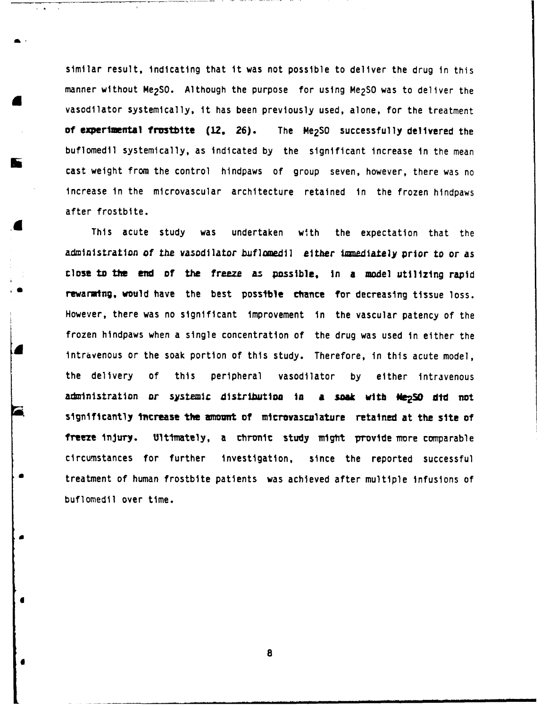similar result, indicating that it was not possible to deliver the drug in this manner without Me<sub>2</sub>SO. Although the purpose for using Me<sub>2</sub>SO was to deliver the vasodilator systemically, it has been previously used, alone, for the treatment of experimental frostbite (12, 26). The Me<sub>2</sub>SO successfully delivered the buflomedil systemically, as indicated by the significant increase in the mean cast weight from the control hindpaws of group seven, however, there was no increase in the microvascular architecture retained in the frozen hindpaws after frostbite.

This acute study was undertaken with the expectation that the administration of the vasodilator buflomedil either immediately prior to or as close to **the end of** the freeze az possible, In a model utilizing rapid rewarming, would have the best possible chance for decreasing tissue loss. However, there was no significant improvement in the vascular patency of the frozen hindpaws when a single concentration of the drug was used in either the intravenous or the soak portion of this study. Therefore, in this acute model, the delivery of this peripheral vasodilator by either intravenous administration or systemic distribution **in** a **smk** with **Ne 2SO did not** significantly **tcrease the amont of** mlcrovasculature retained at the **site of** freeze injury. Ultimately, a chronic study might provide more comparable circumstances for further investigation, since the reported successful treatment of human frostbite patients was achieved after multiple infusions of buflomedil over time.

**8**

a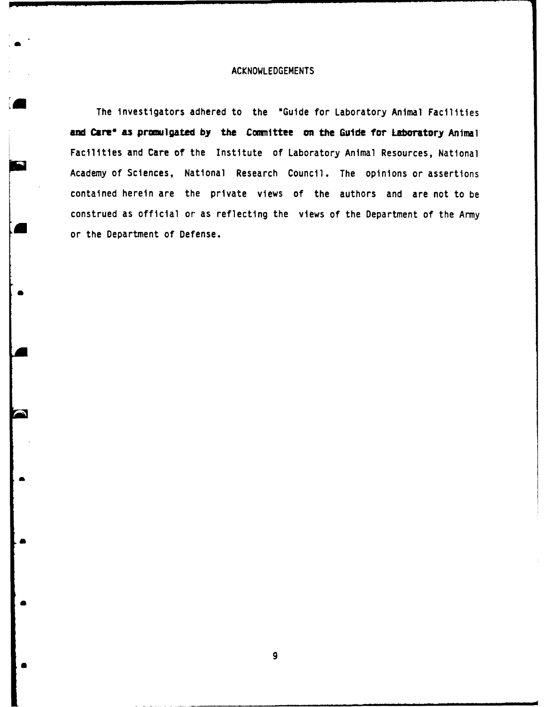## **ACKNOWLEDGEMENTS**

The investigators adhered to the "Guide for Laboratory Animal Facilities **and Cars' as promulgated by the Committee on the** Guide for Laboratory **Anilma** Facilities and Care of the Institute of Laboratory Animal Resources, National Academy of Sciences, National Research Council. The opinions or assertions contained herein are the private views of the authors and are not to be construed as official or as reflecting the views of the Department of the Amy or the Department of Defense.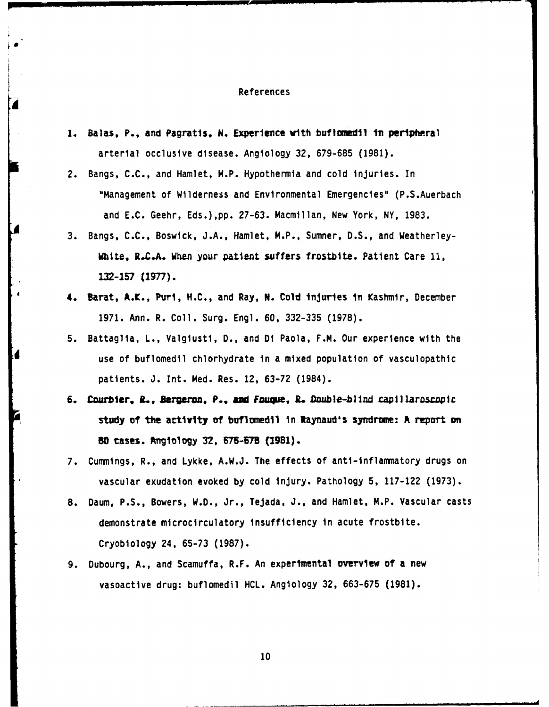#### References

- 1. Balas, P., and Pagratis, N. Experience with buf lomedil in peripheral arterial occlusive disease. Angiology **32, 679-685 (1981).**
- 2. Bangs, **C.C.,** and Hamlet, M.P. Hypothermia and cold injuries. In "Management of Wilderness and Environmental Emergencies" (P.S.Auerbach and **E.C.** Geehr, Eds.),pp. **27-63.** Macmillan, New York, NY, **1983.**
- **3.** Bangs, **C.C.,** Boswick, **J.A.,** Hamlet, M.P., Sumner, **D.S.,** and Weatherley-White, R.C.A. When your patient suffers frostbite. Patient Care **11, L32-157** (177).
- **4. Barat, A.K., Puri, H.C., and Ray, N. Cold injuries in Kashmir, December 1971.** Ann. R. Coll. Surg. Engl. **60, 332-335 (1978).**
- **5.** Battaglia, L., Valgiusti, **D.,** and Di Paola, F.M. Our experience with the use of buflomedil chiorhydrate in a mixed population of vasculopathic patients. **J.** Int. Med. Res. 12, **63-72** (1984).
- **6. Courbier, iL, Bargern** *P., mW Fauque,* **JL Double-blind capillaroscopic study of the artivity of buflunedil in Raynaud's syndrune: A report ant 80 cases. Angiology 32, 676-678 (1981).**
- 7. Cummings, R., and Lykke, A.W.J. The effects of anti-inflammatory drugs on vascular exudation evoked **by** cold injury. Pathology **5, 117-122 (1973).**
- **8.** Daum, **P.S.,** Bowers, W.D., Jr., Tejada, **3.,** and Hamlet, M.P. Vascular casts demonstrate microcirculatory insufficiency in acute frostbite. Cryobiology 24, **65-73 (1987).**
- 9. Dubourg, A., and Scamuffa, R.F. An experimental overview of a new vasoactive drug: buflomedil HCL. Angiology 32, 663-675 (1981).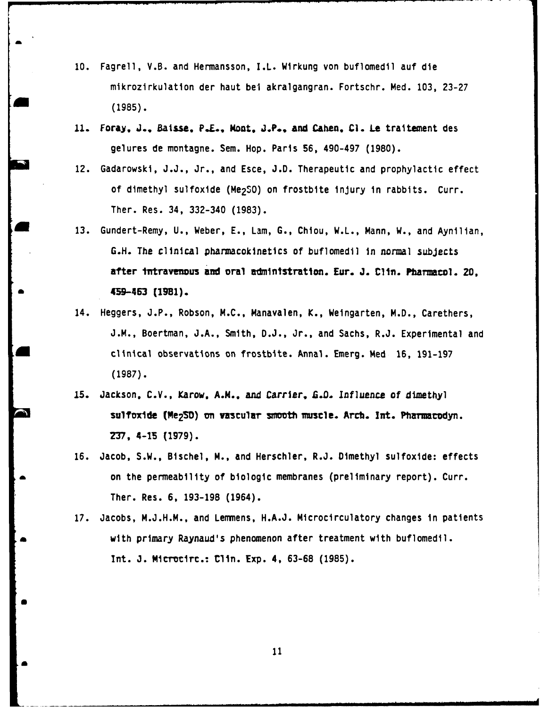- **10.** Fagrell, V.B. and Hermansson, I.1. Wirkung von buflomedil auf die mikrozirkulation der haut bel akralgangran. Fortschr. Med. **103, 23-27** a **(1985).**
- **11.** Foray, **.,. Baisse,** P.E., Mont, **.P..,** and Cahen, **C1.** Le traitement des gelures de montagne. Sem. Hop. Paris **56,** 490-497 **(1980).**
- 12. Gadarowski, **J.J.,** Jr., and Esce, **J.D.** Therapeutic and prophylactic effect of dimethyl sulfoxide (Me<sub>2</sub>SO) on frostbite injury in rabbits. Curr. Ther. Res. 34, 332-340 **(1983).**
- a **13.** Gundert-Remy, **U.,** Weber, **E.,** Lam, **G.,** Chiou, W.L., Mann, W., and Aynilian, **G.H.** The clinical pharmacokinetics of buflomedil in normal subjects after intravenous and oral administration. Eur. J. Clin. Pharmacol. 20, \* 459-463 (1981).
- 14. Heggers, **J.P.,** Robson, **M.C.,** Manavalen, K., Weingarten, M.D., Carethers, **J.M.,** Boertman, **J.A.,** Smith, **D.J.,** Jr., and Sachs, R.J. Experimental and \* clinical observations on frostbite. Annal. Emerg. Med **16, 191-197 (1987).**
- **15.** Jackson, **C.V.,** Karow, **A.M.,** and Carrier, Lfl. Inf luence **of** dimethyl sulfoxide (Me<sub>2</sub>SD) on vascular smooth muscle. Arch. Int. Pharmacodyn. 237, 4-15 **(1979).**
- **16.** Jacob, S.W., Bischel, M., and Herschler, R.J. Dimethyl sulfoxide: effects **a** on the permeability of biologic membranes (preliminary report). Curr. Ther. Res. **6, 193-198** (1964).
- 17. Jacobs, M.J.H.M., and Lemmens, H.A.J. Microcirculatory changes in patients **a** with primary Raynaud's phenomenon after treatment with buflomedil. Inrt. **3.** Mirrc.: tlli. Exp. 4, **63-68 (1985).**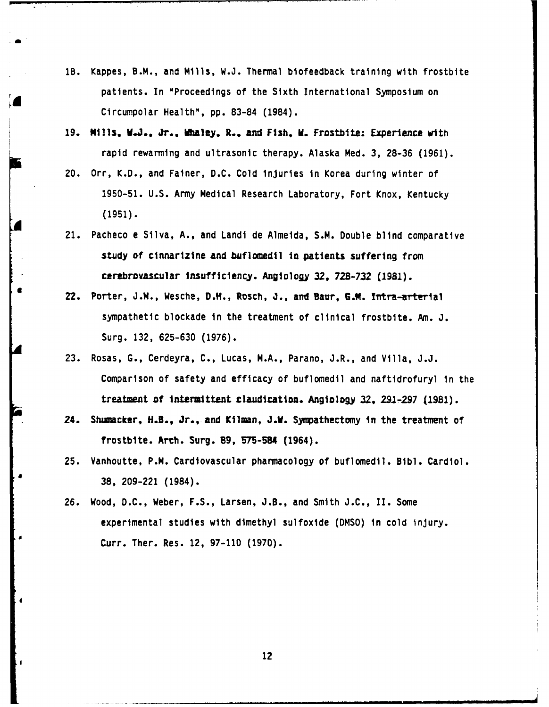- **18.** Kappes, B.M., and Mills, W.J. Thermal biofeedback training with frostbite patients. In "Proceedings of the Sixth International Symposium on Circumpolar Health", pp. **83-84** (1984).
- **19.** NIlls, **W.J., Jr., Waley. L., and Fish,** W. Frostbite: Experience with rapid rewarming and ultrasonic therapy. Alaska Med. **3, 28-36 (1961).**
- 20. Orr, K.D., and Fainer, D.C. Cold injuries in Korea during winter of 1950-51. U.S. Army Medical Research Laboratory, Fort Knox, Kentucky (1951).
- 21. Pacheco e Silva, A., and Landi de Almeida, S.M. Double blind comparative study of cinnarizine and buflomedil in patients suffering from cerebrovascular Insufficiency. Anglology **32, 728-732 (1981).**
- **22.** Porter, **J.M.,** Wesche, D.IH., Rosch, **J.,** and Baur, G.1. !iTtra-arterial sympathetic blockade in the treatment of clinical frostbite. Am. **J.** Surg. 132, 625-630 (1976).
- 23. Rosas, **G.,** Cerdeyra, **C.,** Lucas, M.A., Parano, J.R., and Villa, J.J. Comparison of safety and efficacy of buflomedil and naftidrofuryl in the treatment **of** intermittent claudication. Angiology **32, 291-297 (1981).**
- 24. Shumacker, H.B., Jr., and Kilman, J.W. Sympathectomy in the treatment of frostbite. Arcth. Surg. **89, 575-54** (1964).
- **25.** Vanhoutte, P.M. Cardiovascular pharmacology of buflomedil. **Bibl.** Cardiol. **38, 209-221** (1984).
- **26.** Wood, **D.C.,** Weber, **F.S.,** Larsen, **J.B.,** and Smith **J.C.,** II. Some experimental studies with dimethyl sulfoxide **(DMSO)** in cold injury. Curr. Ther. Res. 12, **97-110 (1970).**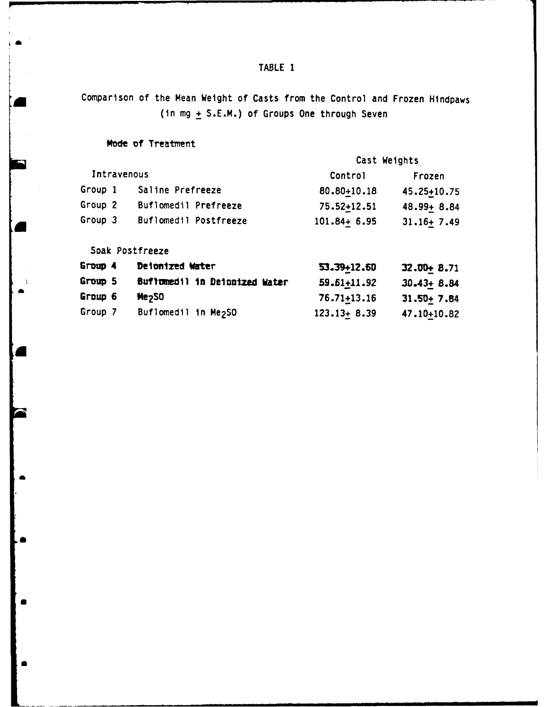# TABLE 1

Comparison of the Mean Weight of Casts from the Control and Frozen Hindpaws (in mg + S.E.M.) of Groups One through Seven

## Mode of Treatment

|             |  |                       | Cast Weights    |                |  |
|-------------|--|-----------------------|-----------------|----------------|--|
| Intravenous |  |                       | Control         | Frozen         |  |
| Group 1     |  | Saline Prefreeze      | 80.80+10.18     | 45.25+10.75    |  |
| Group 2     |  | Buflomedil Prefreeze  | 75.52+12.51     | 48.99+ 8.84    |  |
| Group 3     |  | Buflomedil Postfreeze | $101.84 + 6.95$ | $31.16 + 7.49$ |  |

Soak Postfreeze

 $\overline{1}$ 

| Group 4 | Detonized Water                  | 53.39+12.60     | $32.00 + 8.71$ |
|---------|----------------------------------|-----------------|----------------|
| Group 5 | Buffunedil in Deionized Water    | 59.61+11.92     | $30.43 + 8.84$ |
| Group 6 | Me <sub>250</sub>                | 76.71+13.16     | $31.50 + 7.84$ |
| Group 7 | Buflomedil in Me <sub>2</sub> SO | $123.13 + 8.39$ | 47.10+10.82    |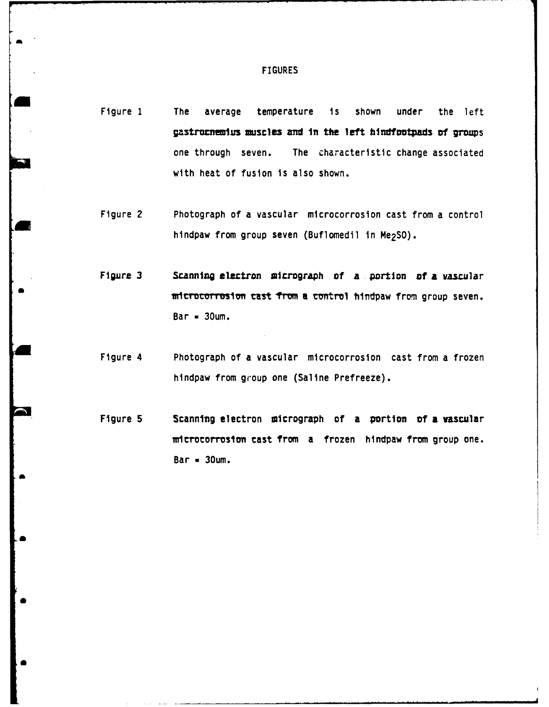- Figure 1 **The average temperature is shown under the left gastrarneius muscles** aid In the left hlndtootpads **of** groups one through seven. The characteristic change associated with heat of fusion is also shown.
- Figure 2 Photograph of a vascular microcorrosion cast from a control hindpaw from group seven (Buflomedil in Me<sub>2</sub>SO).
- Figure 3 **Scanning electron micrograph of a portion of a vascular** microcorrosion cast from a control hindpaw from group seven. Bar **-** 3Oum.
- Figure 4 Photograph of a vascular microcorrosion cast from a frozen hindpaw from group one (Saline Prefreeze).
- Figure 5 **Scanning electron micrograph of a portion of a vascular** microcorrosion cast from a frozen hindpaw from group one.  $Bar = 30$ um.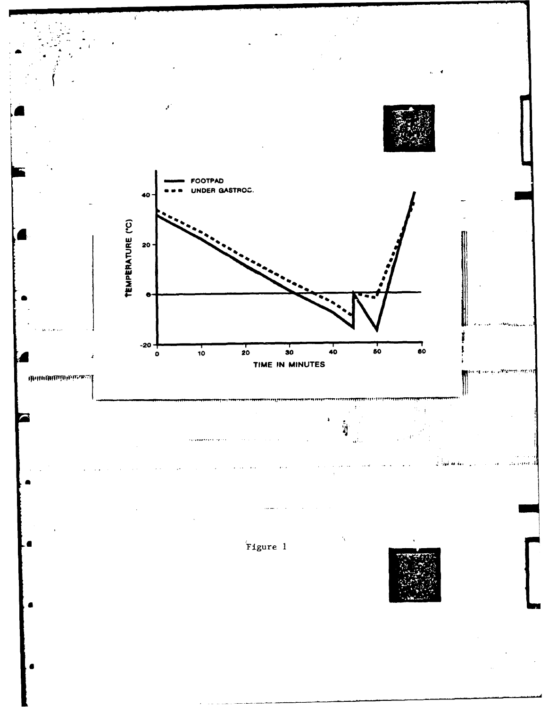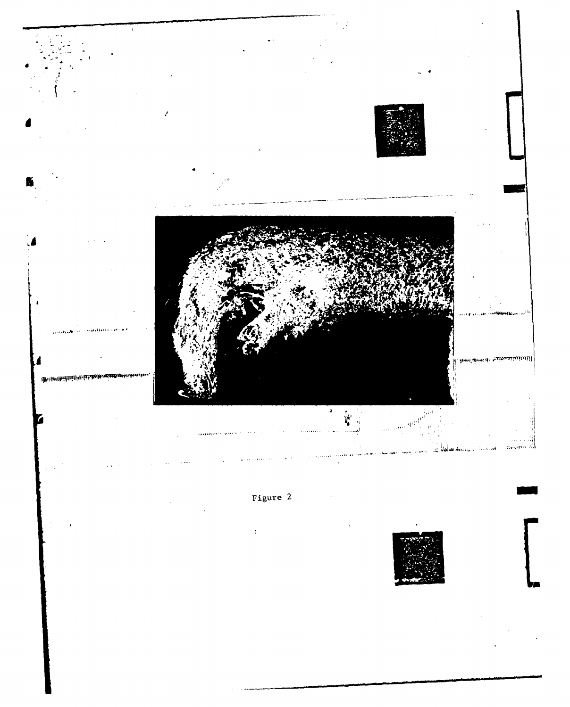

# Figure 2

 $\epsilon$ 

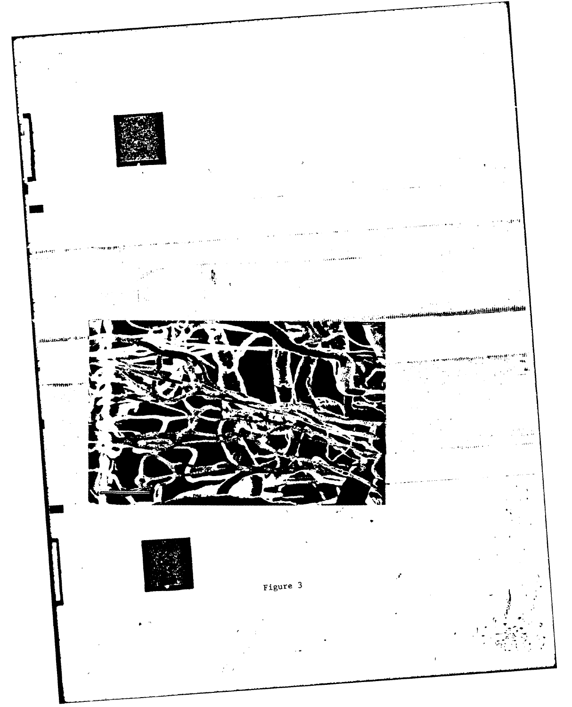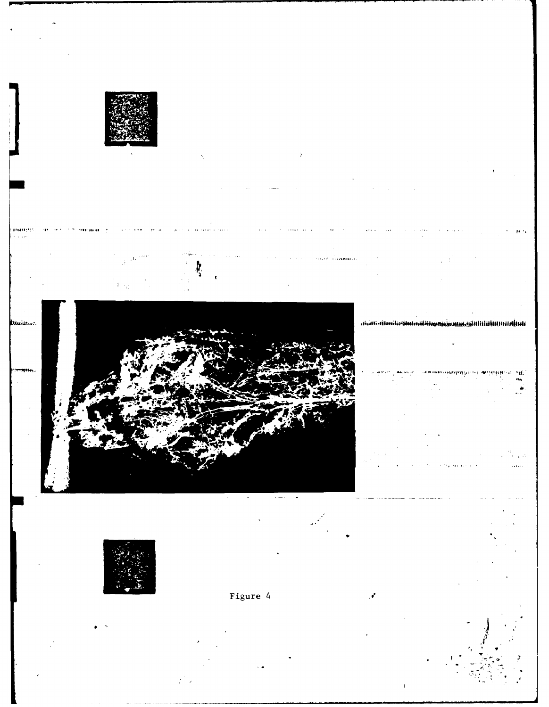

ministication

٠ı£



Figure 4